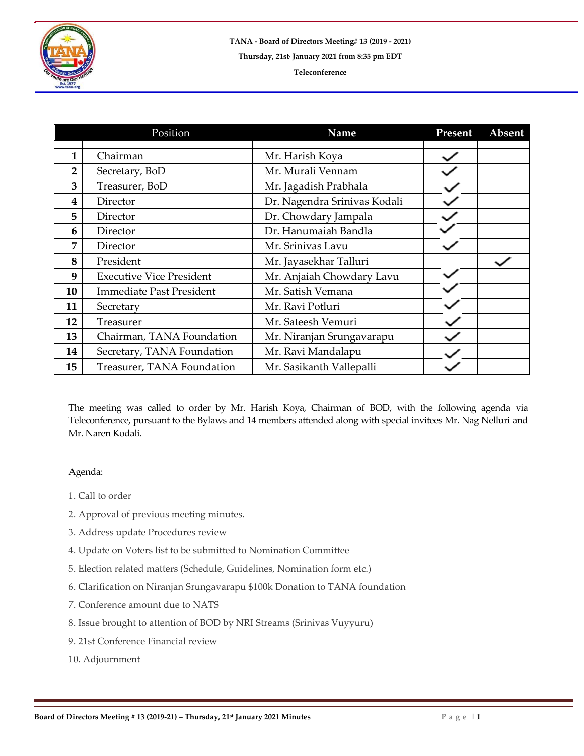

|                | Position                        | <b>Name</b>                  | Present | Absent |
|----------------|---------------------------------|------------------------------|---------|--------|
| 1              | Chairman                        | Mr. Harish Koya              |         |        |
| $\overline{2}$ | Secretary, BoD                  | Mr. Murali Vennam            |         |        |
| 3              | Treasurer, BoD                  | Mr. Jagadish Prabhala        |         |        |
| 4              | Director                        | Dr. Nagendra Srinivas Kodali |         |        |
| 5              | Director                        | Dr. Chowdary Jampala         |         |        |
| 6              | Director                        | Dr. Hanumaiah Bandla         |         |        |
| 7              | Director                        | Mr. Srinivas Lavu            |         |        |
| 8              | President                       | Mr. Jayasekhar Talluri       |         |        |
| 9              | <b>Executive Vice President</b> | Mr. Anjaiah Chowdary Lavu    |         |        |
| 10             | <b>Immediate Past President</b> | Mr. Satish Vemana            |         |        |
| 11             | Secretary                       | Mr. Ravi Potluri             |         |        |
| 12             | Treasurer                       | Mr. Sateesh Vemuri           |         |        |
| 13             | Chairman, TANA Foundation       | Mr. Niranjan Srungavarapu    |         |        |
| 14             | Secretary, TANA Foundation      | Mr. Ravi Mandalapu           |         |        |
| 15             | Treasurer, TANA Foundation      | Mr. Sasikanth Vallepalli     |         |        |

The meeting was called to order by Mr. Harish Koya, Chairman of BOD, with the following agenda via Teleconference, pursuant to the Bylaws and 14 members attended along with special invitees Mr. Nag Nelluri and Mr. Naren Kodali.

## Agenda:

- 1. Call to order
- 2. Approval of previous meeting minutes.
- 3. Address update Procedures review
- 4. Update on Voters list to be submitted to Nomination Committee
- 5. Election related matters (Schedule, Guidelines, Nomination form etc.)
- 6. Clarification on Niranjan Srungavarapu \$100k Donation to TANA foundation
- 7. Conference amount due to NATS
- 8. Issue brought to attention of BOD by NRI Streams (Srinivas Vuyyuru)
- 9. 21st Conference Financial review
- 10. Adjournment